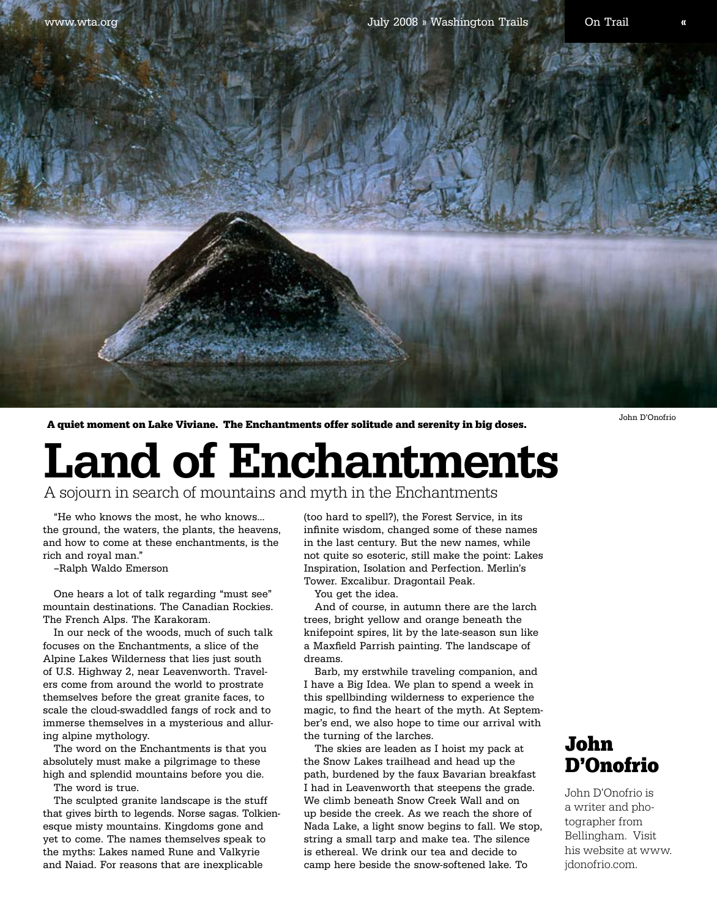A quiet moment on Lake Viviane. The Enchantments offer solitude and serenity in big doses.

## Land of Enchantments

A sojourn in search of mountains and myth in the Enchantments

"He who knows the most, he who knows… the ground, the waters, the plants, the heavens, and how to come at these enchantments, is the rich and royal man."

–Ralph Waldo Emerson

One hears a lot of talk regarding "must see" mountain destinations. The Canadian Rockies. The French Alps. The Karakoram.

In our neck of the woods, much of such talk focuses on the Enchantments, a slice of the Alpine Lakes Wilderness that lies just south of U.S. Highway 2, near Leavenworth. Travelers come from around the world to prostrate themselves before the great granite faces, to scale the cloud-swaddled fangs of rock and to immerse themselves in a mysterious and alluring alpine mythology.

The word on the Enchantments is that you absolutely must make a pilgrimage to these high and splendid mountains before you die.

The word is true.

The sculpted granite landscape is the stuff that gives birth to legends. Norse sagas. Tolkienesque misty mountains. Kingdoms gone and yet to come. The names themselves speak to the myths: Lakes named Rune and Valkyrie and Naiad. For reasons that are inexplicable

(too hard to spell?), the Forest Service, in its infinite wisdom, changed some of these names in the last century. But the new names, while not quite so esoteric, still make the point: Lakes Inspiration, Isolation and Perfection. Merlin's Tower. Excalibur. Dragontail Peak.

You get the idea.

And of course, in autumn there are the larch trees, bright yellow and orange beneath the knifepoint spires, lit by the late-season sun like a Maxfield Parrish painting. The landscape of dreams.

Barb, my erstwhile traveling companion, and I have a Big Idea. We plan to spend a week in this spellbinding wilderness to experience the magic, to find the heart of the myth. At September's end, we also hope to time our arrival with the turning of the larches.

The skies are leaden as I hoist my pack at the Snow Lakes trailhead and head up the path, burdened by the faux Bavarian breakfast I had in Leavenworth that steepens the grade. We climb beneath Snow Creek Wall and on up beside the creek. As we reach the shore of Nada Lake, a light snow begins to fall. We stop, string a small tarp and make tea. The silence is ethereal. We drink our tea and decide to camp here beside the snow-softened lake. To

## John D'Onofrio

John D'Onofrio is a writer and photographer from Bellingham. Visit his website at www. jdonofrio.com.

John D'Onofrio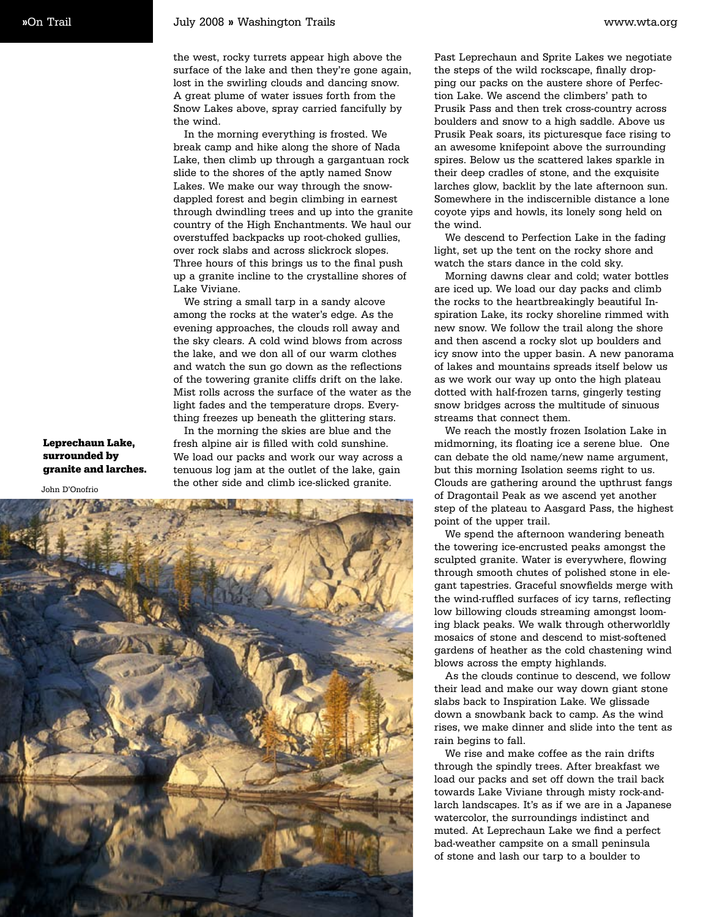the west, rocky turrets appear high above the surface of the lake and then they're gone again, lost in the swirling clouds and dancing snow. A great plume of water issues forth from the Snow Lakes above, spray carried fancifully by the wind.

In the morning everything is frosted. We break camp and hike along the shore of Nada Lake, then climb up through a gargantuan rock slide to the shores of the aptly named Snow Lakes. We make our way through the snowdappled forest and begin climbing in earnest through dwindling trees and up into the granite country of the High Enchantments. We haul our overstuffed backpacks up root-choked gullies, over rock slabs and across slickrock slopes. Three hours of this brings us to the final push up a granite incline to the crystalline shores of Lake Viviane.

We string a small tarp in a sandy alcove among the rocks at the water's edge. As the evening approaches, the clouds roll away and the sky clears. A cold wind blows from across the lake, and we don all of our warm clothes and watch the sun go down as the reflections of the towering granite cliffs drift on the lake. Mist rolls across the surface of the water as the light fades and the temperature drops. Everything freezes up beneath the glittering stars.

In the morning the skies are blue and the fresh alpine air is filled with cold sunshine. We load our packs and work our way across a tenuous log jam at the outlet of the lake, gain the other side and climb ice-slicked granite.

surrounded by granite and larches.

Leprechaun Lake,



Past Leprechaun and Sprite Lakes we negotiate the steps of the wild rockscape, finally dropping our packs on the austere shore of Perfection Lake. We ascend the climbers' path to Prusik Pass and then trek cross-country across boulders and snow to a high saddle. Above us Prusik Peak soars, its picturesque face rising to an awesome knifepoint above the surrounding spires. Below us the scattered lakes sparkle in their deep cradles of stone, and the exquisite larches glow, backlit by the late afternoon sun. Somewhere in the indiscernible distance a lone coyote yips and howls, its lonely song held on the wind.

We descend to Perfection Lake in the fading light, set up the tent on the rocky shore and watch the stars dance in the cold sky.

Morning dawns clear and cold; water bottles are iced up. We load our day packs and climb the rocks to the heartbreakingly beautiful Inspiration Lake, its rocky shoreline rimmed with new snow. We follow the trail along the shore and then ascend a rocky slot up boulders and icy snow into the upper basin. A new panorama of lakes and mountains spreads itself below us as we work our way up onto the high plateau dotted with half-frozen tarns, gingerly testing snow bridges across the multitude of sinuous streams that connect them.

We reach the mostly frozen Isolation Lake in midmorning, its floating ice a serene blue. One can debate the old name/new name argument, but this morning Isolation seems right to us. Clouds are gathering around the upthrust fangs of Dragontail Peak as we ascend yet another step of the plateau to Aasgard Pass, the highest point of the upper trail.

We spend the afternoon wandering beneath the towering ice-encrusted peaks amongst the sculpted granite. Water is everywhere, flowing through smooth chutes of polished stone in elegant tapestries. Graceful snowfields merge with the wind-ruffled surfaces of icy tarns, reflecting low billowing clouds streaming amongst looming black peaks. We walk through otherworldly mosaics of stone and descend to mist-softened gardens of heather as the cold chastening wind blows across the empty highlands.

As the clouds continue to descend, we follow their lead and make our way down giant stone slabs back to Inspiration Lake. We glissade down a snowbank back to camp. As the wind rises, we make dinner and slide into the tent as rain begins to fall.

We rise and make coffee as the rain drifts through the spindly trees. After breakfast we load our packs and set off down the trail back towards Lake Viviane through misty rock-andlarch landscapes. It's as if we are in a Japanese watercolor, the surroundings indistinct and muted. At Leprechaun Lake we find a perfect bad-weather campsite on a small peninsula of stone and lash our tarp to a boulder to